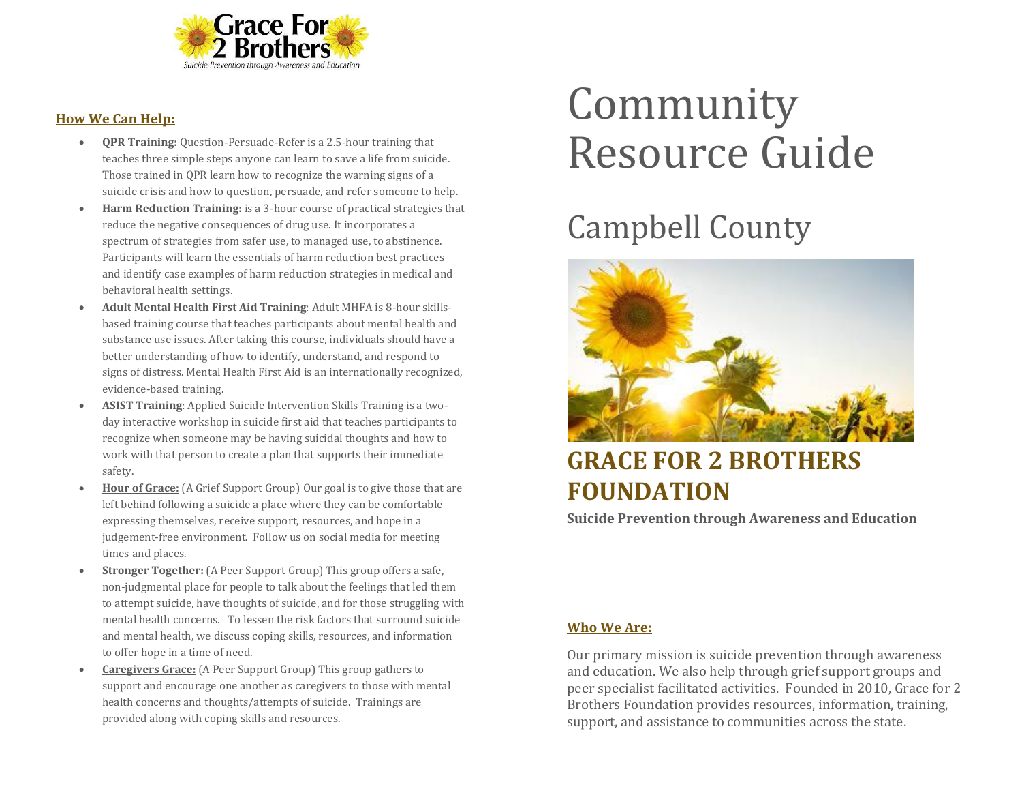

#### **How We Can Help:**

- **QPR Training:** Question-Persuade-Refer is a 2.5-hour training that teaches three simple steps anyone can learn to save a life from suicide. Those trained in QPR learn how to recognize the warning signs of a suicide crisis and how to question, persuade, and refer someone to help.
- **Harm Reduction Training:** is a 3-hour course of practical strategies that reduce the negative consequences of drug use. It incorporates a spectrum of strategies from safer use, to managed use, to abstinence. Participants will learn the essentials of harm reduction best practices and identify case examples of harm reduction strategies in medical and behavioral health settings.
- **Adult Mental Health First Aid Training**: Adult MHFA is 8-hour skillsbased training course that teaches participants about mental health and substance use issues. After taking this course, individuals should have a better understanding of how to identify, understand, and respond to signs of distress. Mental Health First Aid is an internationally recognized, evidence-based training.
- **ASIST Training**: Applied Suicide Intervention Skills Training is a twoday interactive workshop in suicide first aid that teaches participants to recognize when someone may be having suicidal thoughts and how to work with that person to create a plan that supports their immediate safety.
- **Hour of Grace:** (A Grief Support Group) Our goal is to give those that are left behind following a suicide a place where they can be comfortable expressing themselves, receive support, resources, and hope in a judgement-free environment. Follow us on social media for meeting times and places.
- **Stronger Together:** (A Peer Support Group) This group offers a safe, non-judgmental place for people to talk about the feelings that led them to attempt suicide, have thoughts of suicide, and for those struggling with mental health concerns. To lessen the risk factors that surround suicide and mental health, we discuss coping skills, resources, and information to offer hope in a time of need.
- **Caregivers Grace:** (A Peer Support Group) This group gathers to support and encourage one another as caregivers to those with mental health concerns and thoughts/attempts of suicide. Trainings are provided along with coping skills and resources.

# Community Resource Guide

## Campbell County



### **GRACE FOR 2 BROTHERS FOUNDATION**

**Suicide Prevention through Awareness and Education**

#### **Who We Are:**

Our primary mission is suicide prevention through awareness and education. We also help through grief support groups and peer specialist facilitated activities. Founded in 2010, Grace for 2 Brothers Foundation provides resources, information, training, support, and assistance to communities across the state.